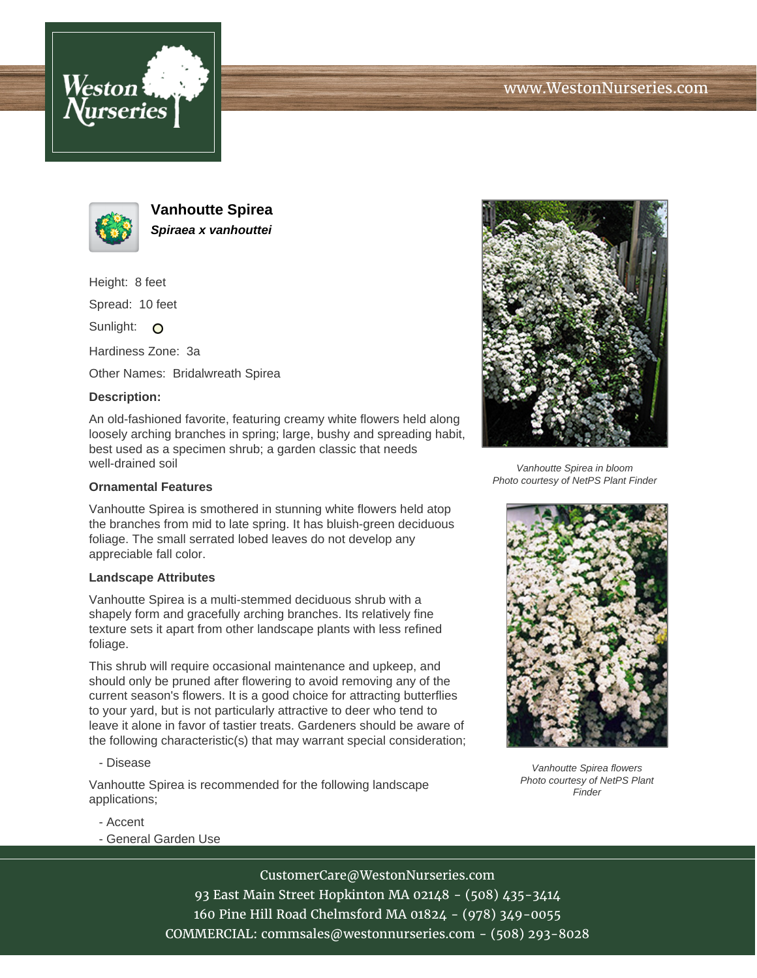





**Vanhoutte Spirea Spiraea x vanhouttei**

Height: 8 feet

Spread: 10 feet

Sunlight: O

Hardiness Zone: 3a

Other Names: Bridalwreath Spirea

## **Description:**

An old-fashioned favorite, featuring creamy white flowers held along loosely arching branches in spring; large, bushy and spreading habit, best used as a specimen shrub; a garden classic that needs well-drained soil

## **Ornamental Features**

Vanhoutte Spirea is smothered in stunning white flowers held atop the branches from mid to late spring. It has bluish-green deciduous foliage. The small serrated lobed leaves do not develop any appreciable fall color.

## **Landscape Attributes**

Vanhoutte Spirea is a multi-stemmed deciduous shrub with a shapely form and gracefully arching branches. Its relatively fine texture sets it apart from other landscape plants with less refined foliage.

This shrub will require occasional maintenance and upkeep, and should only be pruned after flowering to avoid removing any of the current season's flowers. It is a good choice for attracting butterflies to your yard, but is not particularly attractive to deer who tend to leave it alone in favor of tastier treats. Gardeners should be aware of the following characteristic(s) that may warrant special consideration;

- Disease

Vanhoutte Spirea is recommended for the following landscape applications;



Vanhoutte Spirea in bloom Photo courtesy of NetPS Plant Finder



Vanhoutte Spirea flowers Photo courtesy of NetPS Plant Finder

- Accent
- General Garden Use

CustomerCare@WestonNurseries.com 93 East Main Street Hopkinton MA 02148 - (508) 435-3414 160 Pine Hill Road Chelmsford MA 01824 - (978) 349-0055 COMMERCIAL: commsales@westonnurseries.com - (508) 293-8028